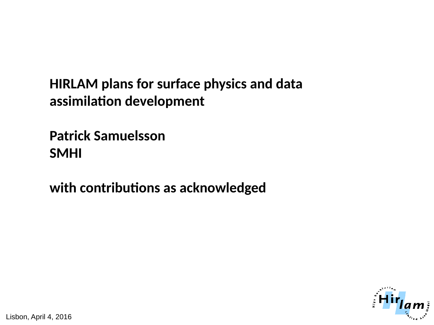**HIRLAM plans for surface physics and data assimilation development**

**Patrick Samuelsson SMHI**

**with contributions as acknowledged**



Lisbon, April 4, 2016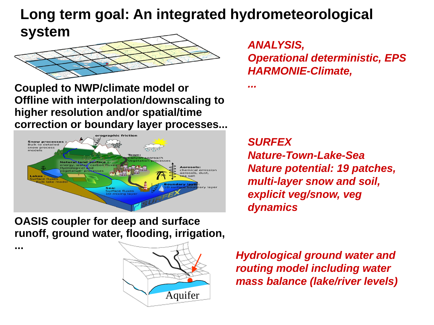# **Long term goal: An integrated hydrometeorological**

*...*



**Coupled to NWP/climate model or Offline with interpolation/downscaling to higher resolution and/or spatial/time correction or boundary layer processes...**



**OASIS coupler for deep and surface runoff, ground water, flooding, irrigation,** 

**...** 

Aquifer

*Hydrological ground water and routing model including water* • *mass balance (lake/river levels)*

*ANALYSIS, Operational deterministic, EPS HARMONIE-Climate,*

*SURFEX Nature-Town-Lake-Sea Nature potential: 19 patches, multi-layer snow and soil, explicit veg/snow, veg dynamics*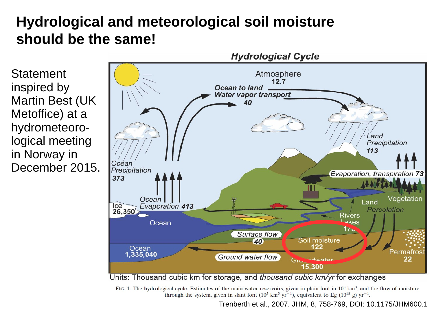## **Hydrological and meteorological soil moisture should be the same!**

Statement inspired by Martin Best (UK Metoffice) at a hydrometeorological meeting in Norway in December 2015.



Units: Thousand cubic km for storage, and thousand cubic km/yr for exchanges

FIG. 1. The hydrological cycle. Estimates of the main water reservoirs, given in plain font in  $10^3$  km<sup>3</sup>, and the flow of moisture through the system, given in slant font  $(10^3 \text{ km}^3 \text{ yr}^{-1})$ , equivalent to Eg  $(10^{18} \text{ g}) \text{ yr}^{-1}$ .

Trenberth et al., 2007. JHM, 8, 758-769, DOI: 10.1175/JHM600.1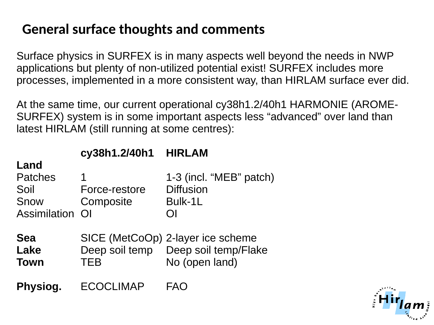## **General surface thoughts and comments**

Surface physics in SURFEX is in many aspects well beyond the needs in NWP applications but plenty of non-utilized potential exist! SURFEX includes more processes, implemented in a more consistent way, than HIRLAM surface ever did.

At the same time, our current operational cy38h1.2/40h1 HARMONIE (AROME-SURFEX) system is in some important aspects less "advanced" over land than latest HIRLAM (still running at some centres):

|                                        | cy38h1.2/40h1 HIRLAM            |                                                                                             |
|----------------------------------------|---------------------------------|---------------------------------------------------------------------------------------------|
| Land<br><b>Patches</b><br>Soil<br>Snow | 1<br>Force-restore<br>Composite | 1-3 (incl. "MEB" patch)<br><b>Diffusion</b><br>Bulk-1L                                      |
| Assimilation                           | $\Omega$                        | ΩI                                                                                          |
| <b>Sea</b><br>Lake<br><b>Town</b>      | <b>TFB</b>                      | SICE (MetCoOp) 2-layer ice scheme<br>Deep soil temp  Deep soil temp/Flake<br>No (open land) |
| Physiog.                               | <b>ECOCLIMAP</b>                |                                                                                             |

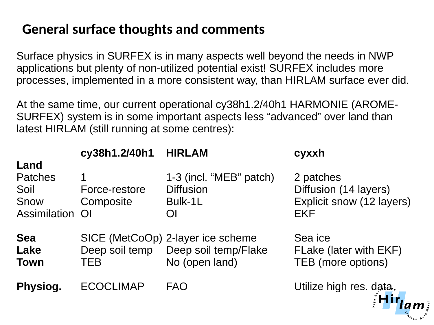## **General surface thoughts and comments**

Surface physics in SURFEX is in many aspects well beyond the needs in NWP applications but plenty of non-utilized potential exist! SURFEX includes more processes, implemented in a more consistent way, than HIRLAM surface ever did.

At the same time, our current operational cy38h1.2/40h1 HARMONIE (AROME-SURFEX) system is in some important aspects less "advanced" over land than latest HIRLAM (still running at some centres):

|                                                                  | cy38h1.2/40h1                             | <b>HIRLAM</b>                                                               | cyxxh                                                                         |
|------------------------------------------------------------------|-------------------------------------------|-----------------------------------------------------------------------------|-------------------------------------------------------------------------------|
| Land<br><b>Patches</b><br>Soil<br>Snow<br><b>Assimilation OI</b> | $\mathbf 1$<br>Force-restore<br>Composite | 1-3 (incl. "MEB" patch)<br><b>Diffusion</b><br>Bulk-1L<br>OI                | 2 patches<br>Diffusion (14 layers)<br>Explicit snow (12 layers)<br><b>EKF</b> |
| <b>Sea</b><br>Lake<br><b>Town</b>                                | Deep soil temp<br>TEB                     | SICE (MetCoOp) 2-layer ice scheme<br>Deep soil temp/Flake<br>No (open land) | Sea ice<br>FLake (later with EKF)<br>TEB (more options)                       |
| Physiog.                                                         | <b>ECOCLIMAP</b>                          | <b>FAO</b>                                                                  | Utilize high res. data.                                                       |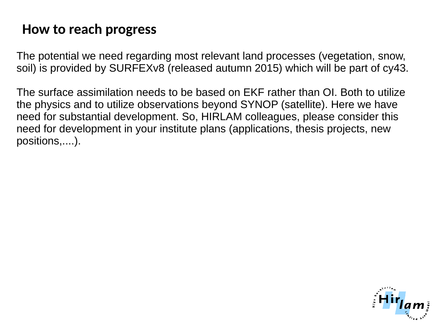### **How to reach progress**

The potential we need regarding most relevant land processes (vegetation, snow, soil) is provided by SURFEXv8 (released autumn 2015) which will be part of cy43.

The surface assimilation needs to be based on EKF rather than OI. Both to utilize the physics and to utilize observations beyond SYNOP (satellite). Here we have need for substantial development. So, HIRLAM colleagues, please consider this need for development in your institute plans (applications, thesis projects, new positions,....).

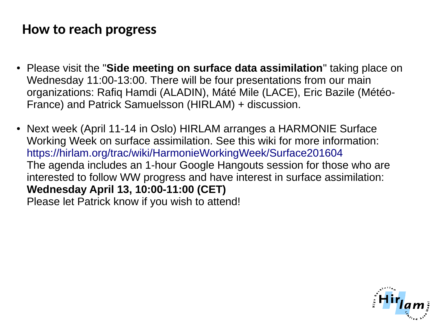### **How to reach progress**

- Please visit the "**Side meeting on surface data assimilation**" taking place on Wednesday 11:00-13:00. There will be four presentations from our main organizations: Rafiq Hamdi (ALADIN), Máté Mile (LACE), Eric Bazile (Météo-France) and Patrick Samuelsson (HIRLAM) + discussion.
- Next week (April 11-14 in Oslo) HIRLAM arranges a HARMONIE Surface Working Week on surface assimilation. See this wiki for more information: <https://hirlam.org/trac/wiki/HarmonieWorkingWeek/Surface201604> The agenda includes an 1-hour Google Hangouts session for those who are interested to follow WW progress and have interest in surface assimilation: **Wednesday April 13, 10:00-11:00 (CET)** Please let Patrick know if you wish to attend!

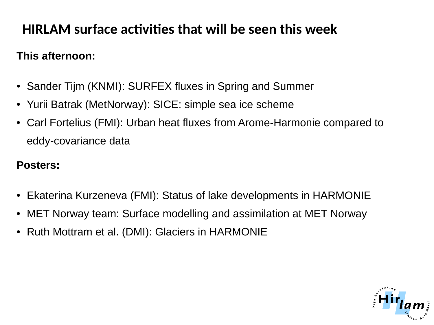## **HIRLAM surface activities that will be seen this week**

#### **This afternoon:**

- Sander Tijm (KNMI): SURFEX fluxes in Spring and Summer
- Yurii Batrak (MetNorway): SICE: simple sea ice scheme
- Carl Fortelius (FMI): Urban heat fluxes from Arome-Harmonie compared to eddy-covariance data

#### **Posters:**

- Ekaterina Kurzeneva (FMI): Status of lake developments in HARMONIE
- MET Norway team: Surface modelling and assimilation at MET Norway
- Ruth Mottram et al. (DMI): Glaciers in HARMONIE

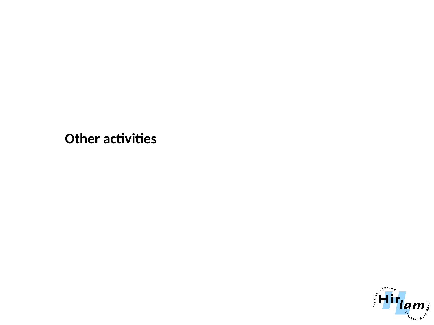**Other activities**

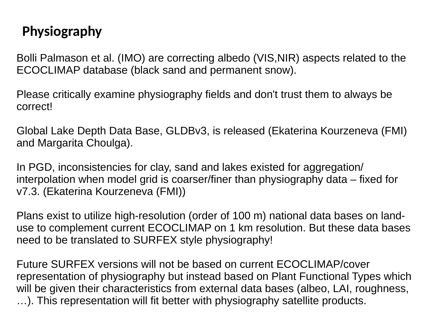#### **Physiography**

Bolli Palmason et al. (IMO) are correcting albedo (VIS,NIR) aspects related to the ECOCLIMAP database (black sand and permanent snow).

Please critically examine physiography fields and don't trust them to always be correct!

Global Lake Depth Data Base, GLDBv3, is released (Ekaterina Kourzeneva (FMI) and Margarita Choulga).

In PGD, inconsistencies for clay, sand and lakes existed for aggregation/ interpolation when model grid is coarser/finer than physiography data – fixed for v7.3. (Ekaterina Kourzeneva (FMI))

Plans exist to utilize high-resolution (order of 100 m) national data bases on landuse to complement current ECOCLIMAP on 1 km resolution. But these data bases need to be translated to SURFEX style physiography!

Future SURFEX versions will not be based on current ECOCLIMAP/cover representation of physiography but instead based on Plant Functional Types which will be given their characteristics from external data bases (albeo, LAI, roughness, …). This representation will fit better with physiography satellite products.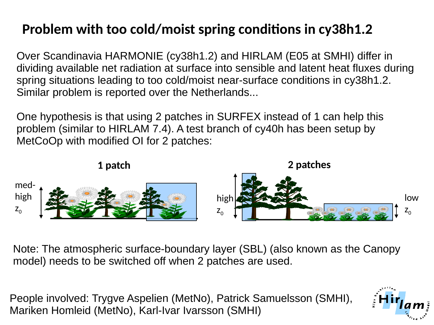# **Problem with too cold/moist spring conditions in cy38h1.2**

Over Scandinavia HARMONIE (cy38h1.2) and HIRLAM (E05 at SMHI) differ in dividing available net radiation at surface into sensible and latent heat fluxes during spring situations leading to too cold/moist near-surface conditions in cy38h1.2. Similar problem is reported over the Netherlands...

One hypothesis is that using 2 patches in SURFEX instead of 1 can help this problem (similar to HIRLAM 7.4). A test branch of cy40h has been setup by MetCoOp with modified OI for 2 patches:



Note: The atmospheric surface-boundary layer (SBL) (also known as the Canopy model) needs to be switched off when 2 patches are used.

People involved: Trygve Aspelien (MetNo), Patrick Samuelsson (SMHI), Mariken Homleid (MetNo), Karl-Ivar Ivarsson (SMHI)

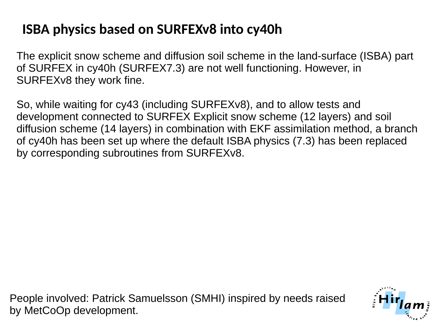# **ISBA physics based on SURFEXv8 into cy40h**

The explicit snow scheme and diffusion soil scheme in the land-surface (ISBA) part of SURFEX in cy40h (SURFEX7.3) are not well functioning. However, in SURFEXv8 they work fine.

So, while waiting for cy43 (including SURFEXv8), and to allow tests and development connected to SURFEX Explicit snow scheme (12 layers) and soil diffusion scheme (14 layers) in combination with EKF assimilation method, a branch of cy40h has been set up where the default ISBA physics (7.3) has been replaced by corresponding subroutines from SURFEXv8.

People involved: Patrick Samuelsson (SMHI) inspired by needs raised by MetCoOp development.

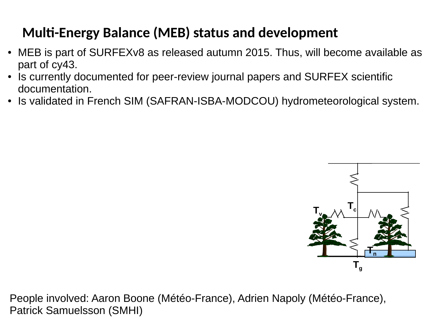# **Multi-Energy Balance (MEB) status and development**

- MEB is part of SURFEXv8 as released autumn 2015. Thus, will become available as part of cy43.
- Is currently documented for peer-review journal papers and SURFEX scientific documentation.
- Is validated in French SIM (SAFRAN-ISBA-MODCOU) hydrometeorological system.



People involved: Aaron Boone (Météo-France), Adrien Napoly (Météo-France), Patrick Samuelsson (SMHI)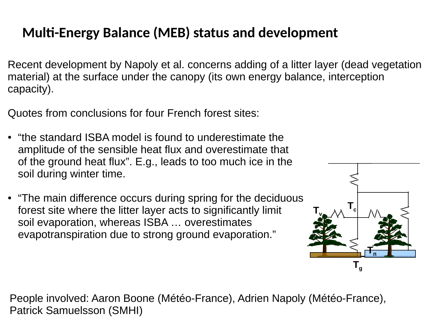## **Multi-Energy Balance (MEB) status and development**

Recent development by Napoly et al. concerns adding of a litter layer (dead vegetation material) at the surface under the canopy (its own energy balance, interception capacity).

Quotes from conclusions for four French forest sites:

- "the standard ISBA model is found to underestimate the amplitude of the sensible heat flux and overestimate that of the ground heat flux". E.g., leads to too much ice in the soil during winter time.
- "The main difference occurs during spring for the deciduous forest site where the litter layer acts to significantly limit soil evaporation, whereas ISBA … overestimates evapotranspiration due to strong ground evaporation."



People involved: Aaron Boone (Météo-France), Adrien Napoly (Météo-France), Patrick Samuelsson (SMHI)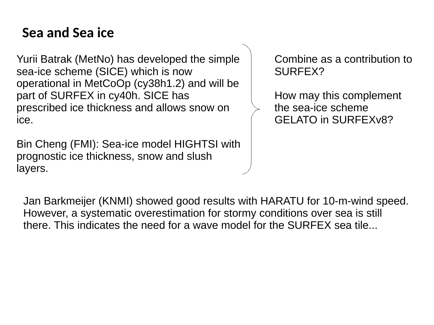### **Sea and Sea ice**

Yurii Batrak (MetNo) has developed the simple sea-ice scheme (SICE) which is now operational in MetCoOp (cy38h1.2) and will be part of SURFEX in cy40h. SICE has prescribed ice thickness and allows snow on ice.

Bin Cheng (FMI): Sea-ice model HIGHTSI with prognostic ice thickness, snow and slush layers.

Combine as a contribution to SURFEX?

How may this complement the sea-ice scheme GELATO in SURFEXv8?

Jan Barkmeijer (KNMI) showed good results with HARATU for 10-m-wind speed. However, a systematic overestimation for stormy conditions over sea is still there. This indicates the need for a wave model for the SURFEX sea tile...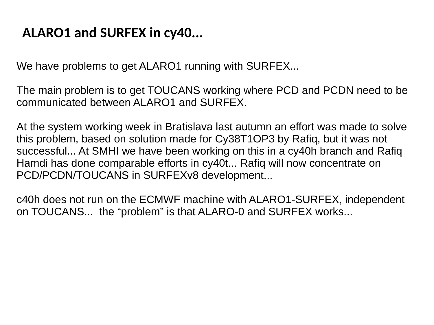#### **ALARO1 and SURFEX in cy40...**

We have problems to get ALARO1 running with SURFEX...

The main problem is to get TOUCANS working where PCD and PCDN need to be communicated between ALARO1 and SURFEX.

At the system working week in Bratislava last autumn an effort was made to solve this problem, based on solution made for Cy38T1OP3 by Rafiq, but it was not successful... At SMHI we have been working on this in a cy40h branch and Rafiq Hamdi has done comparable efforts in cy40t... Rafiq will now concentrate on PCD/PCDN/TOUCANS in SURFEXv8 development...

c40h does not run on the ECMWF machine with ALARO1-SURFEX, independent on TOUCANS... the "problem" is that ALARO-0 and SURFEX works...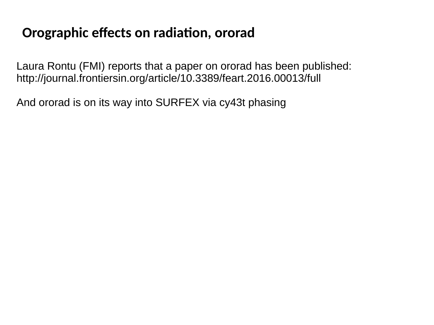## **Orographic effects on radiation, ororad**

Laura Rontu (FMI) reports that a paper on ororad has been published: <http://journal.frontiersin.org/article/10.3389/feart.2016.00013/full>

And ororad is on its way into SURFEX via cy43t phasing